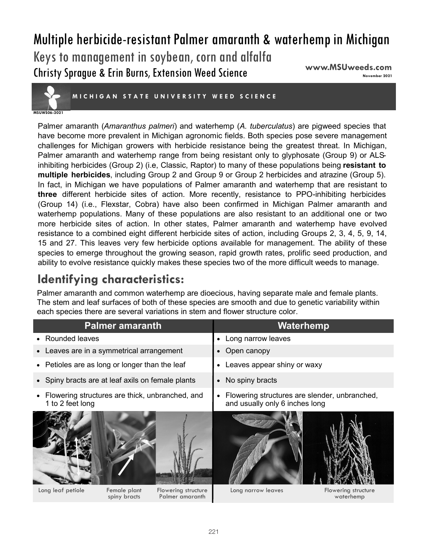# Multiple herbicide-resistant Palmer amaranth & waterhemp in Michigan

Keys to management in soybean, corn and alfalfa Christy Sprague & Erin Burns, Extension Weed Science

**www.MSUweeds.com** 



**MICHIGAN STATE UNIVERSITY WEED SCIENCE** 

#### **MSUWS06-2021**

Palmer amaranth (*Amaranthus palmeri*) and waterhemp (*A. tuberculatus*) are pigweed species that have become more prevalent in Michigan agronomic fields. Both species pose severe management challenges for Michigan growers with herbicide resistance being the greatest threat. In Michigan, Palmer amaranth and waterhemp range from being resistant only to glyphosate (Group 9) or ALSinhibiting herbicides (Group 2) (i.e, Classic, Raptor) to many of these populations being **resistant to multiple herbicides**, including Group 2 and Group 9 or Group 2 herbicides and atrazine (Group 5). In fact, in Michigan we have populations of Palmer amaranth and waterhemp that are resistant to **three** different herbicide sites of action. More recently, resistance to PPO-inhibiting herbicides (Group 14) (i.e., Flexstar, Cobra) have also been confirmed in Michigan Palmer amaranth and waterhemp populations. Many of these populations are also resistant to an additional one or two more herbicide sites of action. In other states, Palmer amaranth and waterhemp have evolved resistance to a combined eight different herbicide sites of action, including Groups 2, 3, 4, 5, 9, 14, 15 and 27. This leaves very few herbicide options available for management. The ability of these species to emerge throughout the growing season, rapid growth rates, prolific seed production, and ability to evolve resistance quickly makes these species two of the more difficult weeds to manage.

## **Identifying characteristics:**

Palmer amaranth and common waterhemp are dioecious, having separate male and female plants. The stem and leaf surfaces of both of these species are smooth and due to genetic variability within each species there are several variations in stem and flower structure color.

|                                                                       | <b>Palmer amaranth</b>       |                                        |                              | Waterhemp                                                                       |                                  |
|-----------------------------------------------------------------------|------------------------------|----------------------------------------|------------------------------|---------------------------------------------------------------------------------|----------------------------------|
| • Rounded leaves                                                      |                              |                                        | $\bullet$                    | Long narrow leaves                                                              |                                  |
| Leaves are in a symmetrical arrangement                               |                              |                                        | $\bullet$                    | Open canopy                                                                     |                                  |
| • Petioles are as long or longer than the leaf                        |                              |                                        | Leaves appear shiny or waxy  |                                                                                 |                                  |
| • Spiny bracts are at leaf axils on female plants                     |                              |                                        | No spiny bracts<br>$\bullet$ |                                                                                 |                                  |
| • Flowering structures are thick, unbranched, and<br>1 to 2 feet long |                              |                                        | $\bullet$                    | Flowering structures are slender, unbranched,<br>and usually only 6 inches long |                                  |
|                                                                       |                              |                                        |                              |                                                                                 |                                  |
| Long leaf petiole                                                     | Female plant<br>spiny bracts | Flowering structure<br>Palmer amaranth |                              | Long narrow leaves                                                              | Flowering structure<br>waterhemp |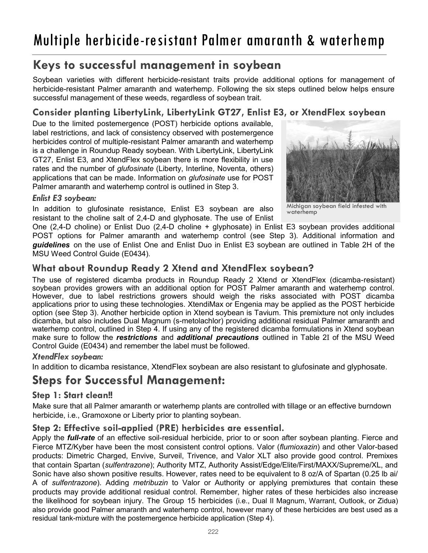# Multiple herbicide-resistant Palmer amaranth & waterhemp

## **Keys to successful management in soybean**

Soybean varieties with different herbicide-resistant traits provide additional options for management of herbicide-resistant Palmer amaranth and waterhemp. Following the six steps outlined below helps ensure successful management of these weeds, regardless of soybean trait.

### **Consider planting LibertyLink, LibertyLink GT27, Enlist E3, or XtendFlex soybean**

Due to the limited postemergence (POST) herbicide options available, label restrictions, and lack of consistency observed with postemergence herbicides control of multiple-resistant Palmer amaranth and waterhemp is a challenge in Roundup Ready soybean. With LibertyLink, LibertyLink GT27, Enlist E3, and XtendFlex soybean there is more flexibility in use rates and the number of *glufosinate* (Liberty, Interline, Noventa, others) applications that can be made. Information on *glufosinate* use for POST Palmer amaranth and waterhemp control is outlined in Step 3.



#### *Enlist E3 soybean:*

In addition to glufosinate resistance, Enlist E3 soybean are also resistant to the choline salt of 2,4-D and glyphosate. The use of Enlist

Michigan soybean field infested with waterhemp

One (2,4-D choline) or Enlist Duo (2,4-D choline + glyphosate) in Enlist E3 soybean provides additional POST options for Palmer amaranth and waterhemp control (see Step 3). Additional information and *guidelines* on the use of Enlist One and Enlist Duo in Enlist E3 soybean are outlined in Table 2H of the MSU Weed Control Guide (E0434).

### **What about Roundup Ready 2 Xtend and XtendFlex soybean?**

The use of registered dicamba products in Roundup Ready 2 Xtend or XtendFlex (dicamba-resistant) soybean provides growers with an additional option for POST Palmer amaranth and waterhemp control. However, due to label restrictions growers should weigh the risks associated with POST dicamba applications prior to using these technologies. XtendiMax or Engenia may be applied as the POST herbicide option (see Step 3). Another herbicide option in Xtend soybean is Tavium. This premixture not only includes dicamba, but also includes Dual Magnum (s-metolachlor) providing additional residual Palmer amaranth and waterhemp control, outlined in Step 4. If using any of the registered dicamba formulations in Xtend soybean make sure to follow the *restrictions* and *additional precautions* outlined in Table 2I of the MSU Weed Control Guide (E0434) and remember the label must be followed.

#### *XtendFlex soybean:*

In addition to dicamba resistance, XtendFlex soybean are also resistant to glufosinate and glyphosate.

### **Steps for Successful Management:**

### **Step 1: Start clean!!**

Make sure that all Palmer amaranth or waterhemp plants are controlled with tillage or an effective burndown herbicide, i.e., Gramoxone or Liberty prior to planting soybean.

### **Step 2: Effective soil-applied (PRE) herbicides are essential.**

Apply the *full-rate* of an effective soil-residual herbicide, prior to or soon after soybean planting. Fierce and Fierce MTZ/Kyber have been the most consistent control options. Valor (*flumioxazin*) and other Valor-based products: Dimetric Charged, Envive, Surveil, Trivence, and Valor XLT also provide good control. Premixes that contain Spartan (*sulfentrazone*); Authority MTZ, Authority Assist/Edge/Elite/First/MAXX/Supreme/XL, and Sonic have also shown positive results. However, rates need to be equivalent to 8 oz/A of Spartan (0.25 lb ai/ A of *sulfentrazone*). Adding *metribuzin* to Valor or Authority or applying premixtures that contain these products may provide additional residual control. Remember, higher rates of these herbicides also increase the likelihood for soybean injury. The Group 15 herbicides (i.e., Dual II Magnum, Warrant, Outlook, or Zidua) also provide good Palmer amaranth and waterhemp control, however many of these herbicides are best used as a residual tank-mixture with the postemergence herbicide application (Step 4).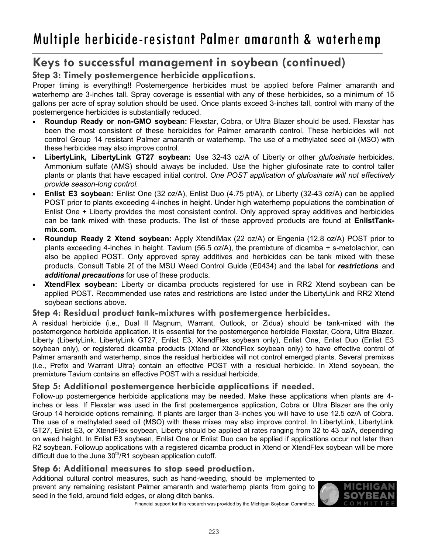### **Keys to successful management in soybean (continued)**

### **Step 3: Timely postemergence herbicide applications.**

Proper timing is everything!! Postemergence herbicides must be applied before Palmer amaranth and waterhemp are 3-inches tall. Spray coverage is essential with any of these herbicides, so a minimum of 15 gallons per acre of spray solution should be used. Once plants exceed 3-inches tall, control with many of the postemergence herbicides is substantially reduced.

- x **Roundup Ready or non-GMO soybean:** Flexstar, Cobra, or Ultra Blazer should be used. Flexstar has been the most consistent of these herbicides for Palmer amaranth control. These herbicides will not control Group 14 resistant Palmer amaranth or waterhemp. The use of a methylated seed oil (MSO) with these herbicides may also improve control.
- x **LibertyLink, LibertyLink GT27 soybean:** Use 32-43 oz/A of Liberty or other *glufosinate* herbicides. Ammonium sulfate (AMS) should always be included. Use the higher glufosinate rate to control taller plants or plants that have escaped initial control. *One POST application of glufosinate will not effectively provide season-long control.*
- x **Enlist E3 soybean:** Enlist One (32 oz/A), Enlist Duo (4.75 pt/A), or Liberty (32-43 oz/A) can be applied POST prior to plants exceeding 4-inches in height. Under high waterhemp populations the combination of Enlist One + Liberty provides the most consistent control. Only approved spray additives and herbicides can be tank mixed with these products. The list of these approved products are found at **EnlistTankmix.com.**
- x **Roundup Ready 2 Xtend soybean:** Apply XtendiMax (22 oz/A) or Engenia (12.8 oz/A) POST prior to plants exceeding 4-inches in height. Tavium (56.5 oz/A), the premixture of dicamba + s-metolachlor, can also be applied POST. Only approved spray additives and herbicides can be tank mixed with these products. Consult Table 2I of the MSU Weed Control Guide (E0434) and the label for *restrictions* and *additional precautions* for use of these products.
- x **XtendFlex soybean:** Liberty or dicamba products registered for use in RR2 Xtend soybean can be applied POST. Recommended use rates and restrictions are listed under the LibertyLink and RR2 Xtend soybean sections above.

### **Step 4: Residual product tank-mixtures with postemergence herbicides.**

A residual herbicide (i.e., Dual II Magnum, Warrant, Outlook, or Zidua) should be tank-mixed with the postemergence herbicide application. It is essential for the postemergence herbicide Flexstar, Cobra, Ultra Blazer, Liberty (LibertyLink, LibertyLink GT27, Enlist E3, XtendFlex soybean only), Enlist One, Enlist Duo (Enlist E3 soybean only), or registered dicamba products (Xtend or XtendFlex soybean only) to have effective control of Palmer amaranth and waterhemp, since the residual herbicides will not control emerged plants. Several premixes (i.e., Prefix and Warrant Ultra) contain an effective POST with a residual herbicide. In Xtend soybean, the premixture Tavium contains an effective POST with a residual herbicide.

### **Step 5: Additional postemergence herbicide applications if needed.**

Follow-up postemergence herbicide applications may be needed. Make these applications when plants are 4 inches or less. If Flexstar was used in the first postemergence application, Cobra or Ultra Blazer are the only Group 14 herbicide options remaining. If plants are larger than 3-inches you will have to use 12.5 oz/A of Cobra. The use of a methylated seed oil (MSO) with these mixes may also improve control. In LibertyLink, LibertyLink GT27, Enlist E3, or XtendFlex soybean, Liberty should be applied at rates ranging from 32 to 43 oz/A, depending on weed height. In Enlist E3 soybean, Enlist One or Enlist Duo can be applied if applications occur not later than R2 soybean. Followup applications with a registered dicamba product in Xtend or XtendFlex soybean will be more difficult due to the June  $30<sup>th</sup>/R1$  soybean application cutoff.

### **Step 6: Additional measures to stop seed production.**

Additional cultural control measures, such as hand-weeding, should be implemented to prevent any remaining resistant Palmer amaranth and waterhemp plants from going to seed in the field, around field edges, or along ditch banks.



Financial support for this research was provided by the Michigan Soybean Committee.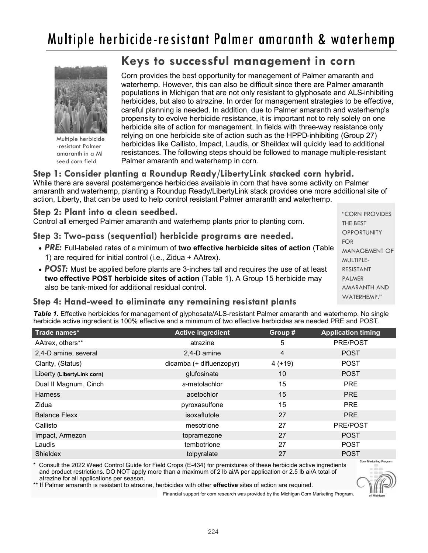

Multiple herbicide -resistant Palmer amaranth in a MI seed corn field

### **Keys to successful management in corn**

Corn provides the best opportunity for management of Palmer amaranth and waterhemp. However, this can also be difficult since there are Palmer amaranth populations in Michigan that are not only resistant to glyphosate and ALS-inhibiting herbicides, but also to atrazine. In order for management strategies to be effective, careful planning is needed. In addition, due to Palmer amaranth and waterhemp's propensity to evolve herbicide resistance, it is important not to rely solely on one herbicide site of action for management. In fields with three-way resistance only relying on one herbicide site of action such as the HPPD-inhibiting (Group 27) herbicides like Callisto, Impact, Laudis, or Sheildex will quickly lead to additional resistances. The following steps should be followed to manage multiple-resistant Palmer amaranth and waterhemp in corn.

#### **Step 1: Consider planting a Roundup Ready/LibertyLink stacked corn hybrid.**

While there are several postemergence herbicides available in corn that have some activity on Palmer amaranth and waterhemp, planting a Roundup Ready/LibertyLink stack provides one more additional site of action, Liberty, that can be used to help control resistant Palmer amaranth and waterhemp.

|  |  |  |  |  |  | Step 2: Plant into a clean seedbed. |
|--|--|--|--|--|--|-------------------------------------|
|--|--|--|--|--|--|-------------------------------------|

Control all emerged Palmer amaranth and waterhemp plants prior to planting corn.

**Step 3: Two-pass (sequential) herbicide programs are needed.** 

- x *PRE:* Full-labeled rates of a minimum of **two effective herbicide sites of action** (Table 1) are required for initial control (i.e., Zidua + AAtrex).
- **POST:** Must be applied before plants are 3-inches tall and requires the use of at least **two effective POST herbicide sites of action** (Table 1). A Group 15 herbicide may also be tank-mixed for additional residual control.

"CORN PROVIDES THE BEST **OPPORTUNITY** FOR MANAGEMENT OF MULTIPLE-RESISTANT PALMER AMARANTH AND WATERHEMP."

### **Step 4: Hand-weed to eliminate any remaining resistant plants**

*Table 1.* Effective herbicides for management of glyphosate/ALS-resistant Palmer amaranth and waterhemp. No single herbicide active ingredient is 100% effective and a minimum of two effective herbicides are needed PRE and POST.

| Trade names*               | <b>Active ingredient</b> | Group #  | <b>Application timing</b> |
|----------------------------|--------------------------|----------|---------------------------|
| AAtrex, others**           | atrazine                 | 5        | PRE/POST                  |
| 2,4-D amine, several       | 2,4-D amine              | 4        | <b>POST</b>               |
| Clarity, (Status)          | dicamba (+ difluenzopyr) | $4(+19)$ | <b>POST</b>               |
| Liberty (LibertyLink corn) | glufosinate              | 10       | <b>POST</b>               |
| Dual II Magnum, Cinch      | s-metolachlor            | 15       | <b>PRE</b>                |
| <b>Harness</b>             | acetochlor               | 15       | <b>PRE</b>                |
| Zidua                      | pyroxasulfone            | 15       | <b>PRE</b>                |
| <b>Balance Flexx</b>       | isoxaflutole             | 27       | <b>PRE</b>                |
| Callisto                   | mesotrione               | 27       | PRE/POST                  |
| Impact, Armezon            | topramezone              | 27       | <b>POST</b>               |
| Laudis                     | tembotrione              | 27       | <b>POST</b>               |
| Shieldex                   | tolpyralate              | 27       | <b>POST</b>               |

Consult the 2022 Weed Control Guide for Field Crops (E-434) for premixtures of these herbicide active ingredients and product restrictions. DO NOT apply more than a maximum of 2 lb ai/A per application or 2.5 lb ai/A total of atrazine for all applications per season.

\*\* If Palmer amaranth is resistant to atrazine, herbicides with other **effective** sites of action are required.

Financial support for corn research was provided by the Michigan Corn Marketing Program.